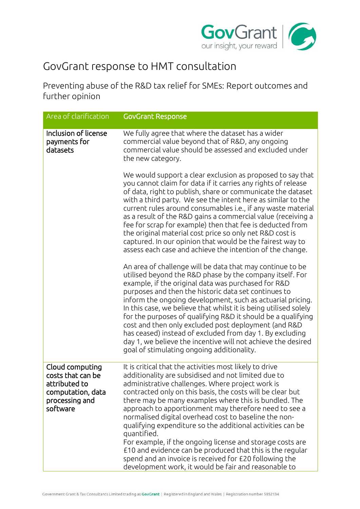

## GovGrant response to HMT consultation

Preventing abuse of the R&D tax relief for SMEs: Report outcomes and further opinion

| Area of clarification                                                                                    | <b>GovGrant Response</b>                                                                                                                                                                                                                                                                                                                                                                                                                                                                                                                                                                                                                                                                                                             |
|----------------------------------------------------------------------------------------------------------|--------------------------------------------------------------------------------------------------------------------------------------------------------------------------------------------------------------------------------------------------------------------------------------------------------------------------------------------------------------------------------------------------------------------------------------------------------------------------------------------------------------------------------------------------------------------------------------------------------------------------------------------------------------------------------------------------------------------------------------|
| Inclusion of license<br>payments for<br>datasets                                                         | We fully agree that where the dataset has a wider<br>commercial value beyond that of R&D, any ongoing<br>commercial value should be assessed and excluded under<br>the new category.                                                                                                                                                                                                                                                                                                                                                                                                                                                                                                                                                 |
|                                                                                                          | We would support a clear exclusion as proposed to say that<br>you cannot claim for data if it carries any rights of release<br>of data, right to publish, share or communicate the dataset<br>with a third party. We see the intent here as similar to the<br>current rules around consumables i.e., if any waste material<br>as a result of the R&D gains a commercial value (receiving a<br>fee for scrap for example) then that fee is deducted from<br>the original material cost price so only net R&D cost is<br>captured. In our opinion that would be the fairest way to<br>assess each case and achieve the intention of the change.                                                                                        |
|                                                                                                          | An area of challenge will be data that may continue to be<br>utilised beyond the R&D phase by the company itself. For<br>example, if the original data was purchased for R&D<br>purposes and then the historic data set continues to<br>inform the ongoing development, such as actuarial pricing.<br>In this case, we believe that whilst it is being utilised solely<br>for the purposes of qualifying R&D it should be a qualifying<br>cost and then only excluded post deployment (and R&D<br>has ceased) instead of excluded from day 1. By excluding<br>day 1, we believe the incentive will not achieve the desired<br>goal of stimulating ongoing additionality.                                                             |
| Cloud computing<br>costs that can be<br>attributed to<br>computation, data<br>processing and<br>software | It is critical that the activities most likely to drive<br>additionality are subsidised and not limited due to<br>administrative challenges. Where project work is<br>contracted only on this basis, the costs will be clear but<br>there may be many examples where this is bundled. The<br>approach to apportionment may therefore need to see a<br>normalised digital overhead cost to baseline the non-<br>qualifying expenditure so the additional activities can be<br>quantified.<br>For example, if the ongoing license and storage costs are<br>£10 and evidence can be produced that this is the regular<br>spend and an invoice is received for £20 following the<br>development work, it would be fair and reasonable to |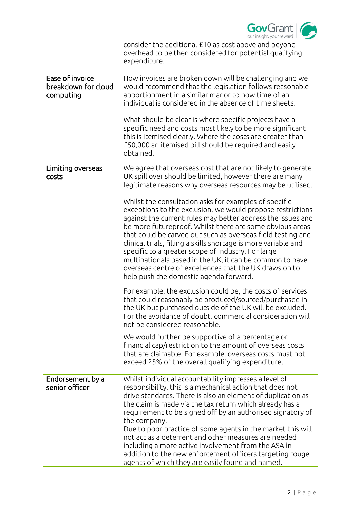

|                                                     | consider the additional £10 as cost above and beyond<br>overhead to be then considered for potential qualifying<br>expenditure.                                                                                                                                                                                                                                                                                                                                                                                                                                                                        |
|-----------------------------------------------------|--------------------------------------------------------------------------------------------------------------------------------------------------------------------------------------------------------------------------------------------------------------------------------------------------------------------------------------------------------------------------------------------------------------------------------------------------------------------------------------------------------------------------------------------------------------------------------------------------------|
| Ease of invoice<br>breakdown for cloud<br>computing | How invoices are broken down will be challenging and we<br>would recommend that the legislation follows reasonable<br>apportionment in a similar manor to how time of an<br>individual is considered in the absence of time sheets.                                                                                                                                                                                                                                                                                                                                                                    |
|                                                     | What should be clear is where specific projects have a<br>specific need and costs most likely to be more significant<br>this is itemised clearly. Where the costs are greater than<br>£50,000 an itemised bill should be required and easily<br>obtained.                                                                                                                                                                                                                                                                                                                                              |
| Limiting overseas<br>costs                          | We agree that overseas cost that are not likely to generate<br>UK spill over should be limited, however there are many<br>legitimate reasons why overseas resources may be utilised.                                                                                                                                                                                                                                                                                                                                                                                                                   |
|                                                     | Whilst the consultation asks for examples of specific<br>exceptions to the exclusion, we would propose restrictions<br>against the current rules may better address the issues and<br>be more futureproof. Whilst there are some obvious areas<br>that could be carved out such as overseas field testing and<br>clinical trials, filling a skills shortage is more variable and<br>specific to a greater scope of industry. For large<br>multinationals based in the UK, it can be common to have<br>overseas centre of excellences that the UK draws on to<br>help push the domestic agenda forward. |
|                                                     | For example, the exclusion could be, the costs of services<br>that could reasonably be produced/sourced/purchased in<br>the UK but purchased outside of the UK will be excluded.<br>For the avoidance of doubt, commercial consideration will<br>not be considered reasonable.                                                                                                                                                                                                                                                                                                                         |
|                                                     | We would further be supportive of a percentage or<br>financial cap/restriction to the amount of overseas costs<br>that are claimable. For example, overseas costs must not<br>exceed 25% of the overall qualifying expenditure.                                                                                                                                                                                                                                                                                                                                                                        |
| Endorsement by a<br>senior officer                  | Whilst individual accountability impresses a level of<br>responsibility, this is a mechanical action that does not<br>drive standards. There is also an element of duplication as<br>the claim is made via the tax return which already has a<br>requirement to be signed off by an authorised signatory of<br>the company.                                                                                                                                                                                                                                                                            |
|                                                     | Due to poor practice of some agents in the market this will<br>not act as a deterrent and other measures are needed<br>including a more active involvement from the ASA in<br>addition to the new enforcement officers targeting rouge<br>agents of which they are easily found and named.                                                                                                                                                                                                                                                                                                             |